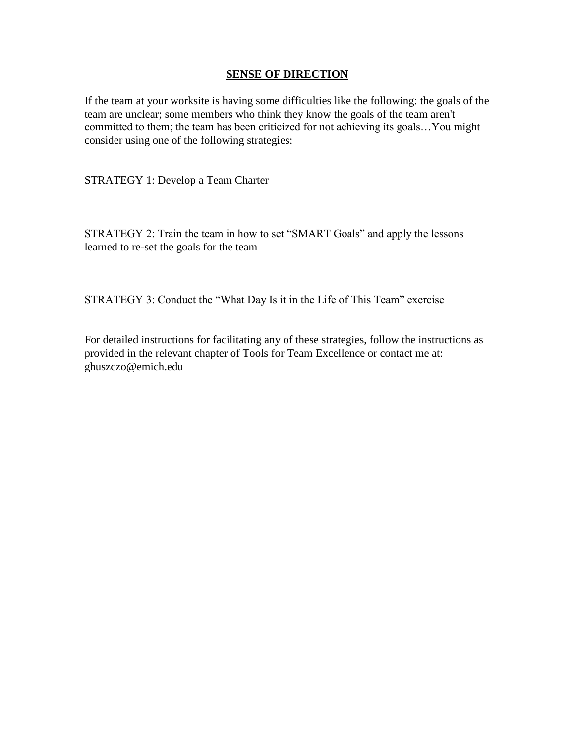#### **SENSE OF DIRECTION**

If the team at your worksite is having some difficulties like the following: the goals of the team are unclear; some members who think they know the goals of the team aren't committed to them; the team has been criticized for not achieving its goals…You might consider using one of the following strategies:

STRATEGY 1: Develop a Team Charter

STRATEGY 2: Train the team in how to set "SMART Goals" and apply the lessons learned to re-set the goals for the team

STRATEGY 3: Conduct the "What Day Is it in the Life of This Team" exercise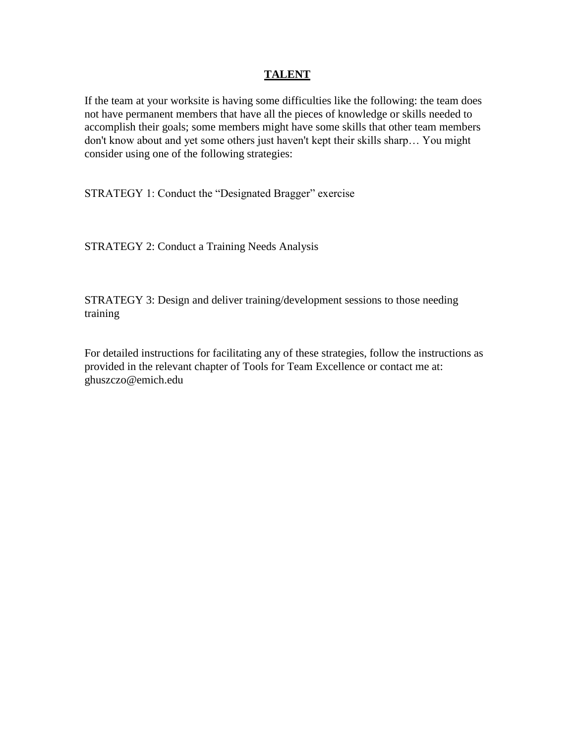## **TALENT**

If the team at your worksite is having some difficulties like the following: the team does not have permanent members that have all the pieces of knowledge or skills needed to accomplish their goals; some members might have some skills that other team members don't know about and yet some others just haven't kept their skills sharp… You might consider using one of the following strategies:

STRATEGY 1: Conduct the "Designated Bragger" exercise

STRATEGY 2: Conduct a Training Needs Analysis

STRATEGY 3: Design and deliver training/development sessions to those needing training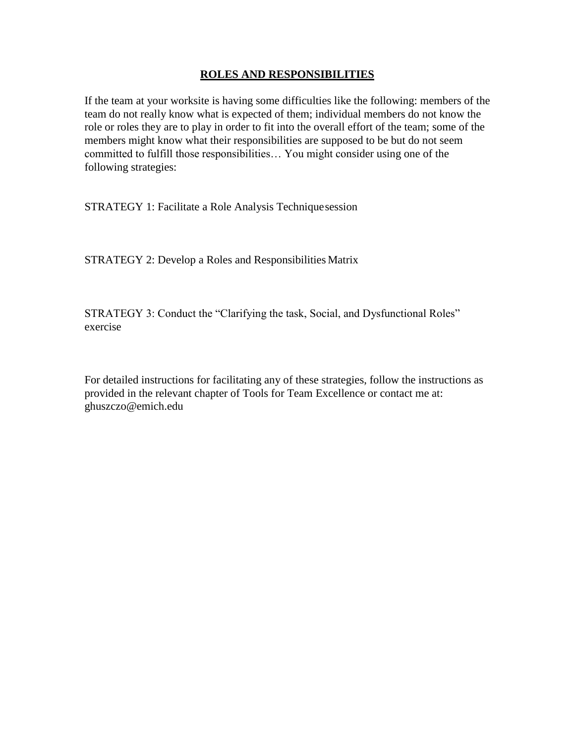## **ROLES AND RESPONSIBILITIES**

If the team at your worksite is having some difficulties like the following: members of the team do not really know what is expected of them; individual members do not know the role or roles they are to play in order to fit into the overall effort of the team; some of the members might know what their responsibilities are supposed to be but do not seem committed to fulfill those responsibilities… You might consider using one of the following strategies:

STRATEGY 1: Facilitate a Role Analysis Techniquesession

STRATEGY 2: Develop a Roles and Responsibilities Matrix

STRATEGY 3: Conduct the "Clarifying the task, Social, and Dysfunctional Roles" exercise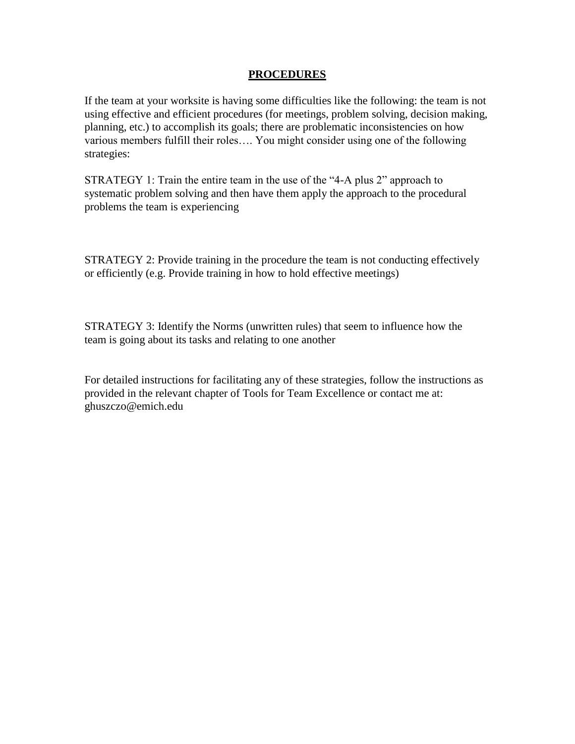#### **PROCEDURES**

If the team at your worksite is having some difficulties like the following: the team is not using effective and efficient procedures (for meetings, problem solving, decision making, planning, etc.) to accomplish its goals; there are problematic inconsistencies on how various members fulfill their roles…. You might consider using one of the following strategies:

STRATEGY 1: Train the entire team in the use of the "4-A plus 2" approach to systematic problem solving and then have them apply the approach to the procedural problems the team is experiencing

STRATEGY 2: Provide training in the procedure the team is not conducting effectively or efficiently (e.g. Provide training in how to hold effective meetings)

STRATEGY 3: Identify the Norms (unwritten rules) that seem to influence how the team is going about its tasks and relating to one another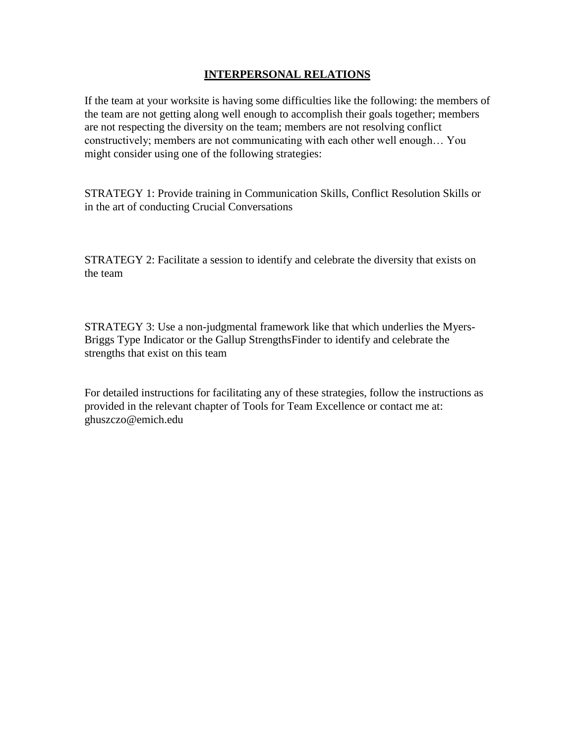# **INTERPERSONAL RELATIONS**

If the team at your worksite is having some difficulties like the following: the members of the team are not getting along well enough to accomplish their goals together; members are not respecting the diversity on the team; members are not resolving conflict constructively; members are not communicating with each other well enough… You might consider using one of the following strategies:

STRATEGY 1: Provide training in Communication Skills, Conflict Resolution Skills or in the art of conducting Crucial Conversations

STRATEGY 2: Facilitate a session to identify and celebrate the diversity that exists on the team

STRATEGY 3: Use a non-judgmental framework like that which underlies the Myers-Briggs Type Indicator or the Gallup StrengthsFinder to identify and celebrate the strengths that exist on this team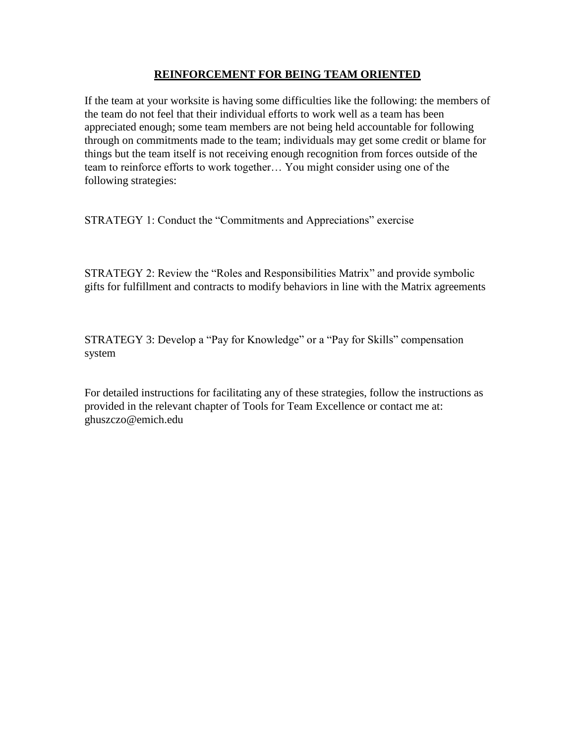# **REINFORCEMENT FOR BEING TEAM ORIENTED**

If the team at your worksite is having some difficulties like the following: the members of the team do not feel that their individual efforts to work well as a team has been appreciated enough; some team members are not being held accountable for following through on commitments made to the team; individuals may get some credit or blame for things but the team itself is not receiving enough recognition from forces outside of the team to reinforce efforts to work together… You might consider using one of the following strategies:

STRATEGY 1: Conduct the "Commitments and Appreciations" exercise

STRATEGY 2: Review the "Roles and Responsibilities Matrix" and provide symbolic gifts for fulfillment and contracts to modify behaviors in line with the Matrix agreements

STRATEGY 3: Develop a "Pay for Knowledge" or a "Pay for Skills" compensation system